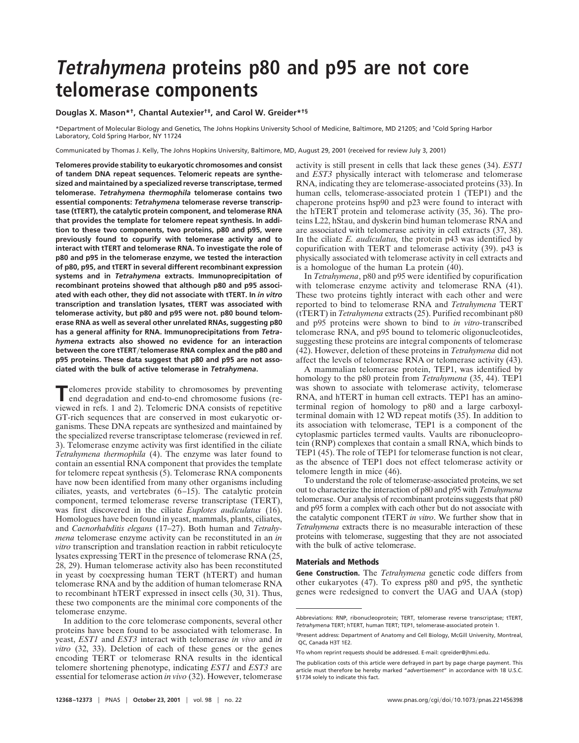## **Tetrahymena proteins p80 and p95 are not core telomerase components**

## **Douglas X. Mason\*†, Chantal Autexier†‡, and Carol W. Greider\*†§**

\*Department of Molecular Biology and Genetics, The Johns Hopkins University School of Medicine, Baltimore, MD 21205; and †Cold Spring Harbor Laboratory, Cold Spring Harbor, NY 11724

Communicated by Thomas J. Kelly, The Johns Hopkins University, Baltimore, MD, August 29, 2001 (received for review July 3, 2001)

**Telomeres provide stability to eukaryotic chromosomes and consist of tandem DNA repeat sequences. Telomeric repeats are synthesized and maintained by a specialized reverse transcriptase, termed telomerase.** *Tetrahymena thermophila* **telomerase contains two essential components:** *Tetrahymena* **telomerase reverse transcriptase (tTERT), the catalytic protein component, and telomerase RNA that provides the template for telomere repeat synthesis. In addition to these two components, two proteins, p80 and p95, were previously found to copurify with telomerase activity and to interact with tTERT and telomerase RNA. To investigate the role of p80 and p95 in the telomerase enzyme, we tested the interaction of p80, p95, and tTERT in several different recombinant expression systems and in** *Tetrahymena* **extracts. Immunoprecipitation of recombinant proteins showed that although p80 and p95 associated with each other, they did not associate with tTERT. In** *in vitro* **transcription and translation lysates, tTERT was associated with telomerase activity, but p80 and p95 were not. p80 bound telomerase RNA as well as several other unrelated RNAs, suggesting p80 has a general affinity for RNA. Immunoprecipitations from** *Tetrahymena* **extracts also showed no evidence for an interaction between the core tTERT**y**telomerase RNA complex and the p80 and p95 proteins. These data suggest that p80 and p95 are not associated with the bulk of active telomerase in** *Tetrahymena***.**

**T**elomeres provide stability to chromosomes by preventing<br>end degradation on  $\frac{1}{2}$ end degradation and end-to-end chromosome fusions (reviewed in refs. 1 and 2). Telomeric DNA consists of repetitive GT-rich sequences that are conserved in most eukaryotic organisms. These DNA repeats are synthesized and maintained by the specialized reverse transcriptase telomerase (reviewed in ref. 3). Telomerase enzyme activity was first identified in the ciliate *Tetrahymena thermophila* (4). The enzyme was later found to contain an essential RNA component that provides the template for telomere repeat synthesis (5). Telomerase RNA components have now been identified from many other organisms including ciliates, yeasts, and vertebrates (6–15). The catalytic protein component, termed telomerase reverse transcriptase (TERT), was first discovered in the ciliate *Euplotes audiculatus* (16). Homologues have been found in yeast, mammals, plants, ciliates, and *Caenorhabditis elegans* (17–27). Both human and *Tetrahymena* telomerase enzyme activity can be reconstituted in an *in vitro* transcription and translation reaction in rabbit reticulocyte lysates expressing TERT in the presence of telomerase RNA (25, 28, 29). Human telomerase activity also has been reconstituted in yeast by coexpressing human TERT (hTERT) and human telomerase RNA and by the addition of human telomerase RNA to recombinant hTERT expressed in insect cells (30, 31). Thus, these two components are the minimal core components of the telomerase enzyme.

In addition to the core telomerase components, several other proteins have been found to be associated with telomerase. In yeast, *EST1* and *EST3* interact with telomerase *in vivo* and *in vitro* (32, 33). Deletion of each of these genes or the genes encoding TERT or telomerase RNA results in the identical telomere shortening phenotype, indicating *EST1* and *EST3* are essential for telomerase action *in vivo* (32). However, telomerase activity is still present in cells that lack these genes (34). *EST1* and *EST3* physically interact with telomerase and telomerase RNA, indicating they are telomerase-associated proteins (33). In human cells, telomerase-associated protein 1 (TEP1) and the chaperone proteins hsp90 and p23 were found to interact with the hTERT protein and telomerase activity (35, 36). The proteins L22, hStau, and dyskerin bind human telomerase RNA and are associated with telomerase activity in cell extracts (37, 38). In the ciliate *E. audiculatus,* the protein p43 was identified by copurification with TERT and telomerase activity (39). p43 is physically associated with telomerase activity in cell extracts and is a homologue of the human La protein (40).

In *Tetrahymena*, p80 and p95 were identified by copurification with telomerase enzyme activity and telomerase RNA (41). These two proteins tightly interact with each other and were reported to bind to telomerase RNA and *Tetrahymena* TERT (tTERT) in *Tetrahymena* extracts (25). Purified recombinant p80 and p95 proteins were shown to bind to *in vitro-*transcribed telomerase RNA, and p95 bound to telomeric oligonucleotides, suggesting these proteins are integral components of telomerase (42). However, deletion of these proteins in *Tetrahymena* did not affect the levels of telomerase RNA or telomerase activity (43).

A mammalian telomerase protein, TEP1, was identified by homology to the p80 protein from *Tetrahymena* (35, 44). TEP1 was shown to associate with telomerase activity, telomerase RNA, and hTERT in human cell extracts. TEP1 has an aminoterminal region of homology to p80 and a large carboxylterminal domain with 12 WD repeat motifs (35). In addition to its association with telomerase, TEP1 is a component of the cytoplasmic particles termed vaults. Vaults are ribonucleoprotein (RNP) complexes that contain a small RNA, which binds to TEP1 (45). The role of TEP1 for telomerase function is not clear, as the absence of TEP1 does not effect telomerase activity or telomere length in mice (46).

To understand the role of telomerase-associated proteins, we set out to characterize the interaction of p80 and p95 with *Tetrahymena* telomerase. Our analysis of recombinant proteins suggests that p80 and p95 form a complex with each other but do not associate with the catalytic component tTERT *in vitro*. We further show that in *Tetrahymena* extracts there is no measurable interaction of these proteins with telomerase, suggesting that they are not associated with the bulk of active telomerase.

## **Materials and Methods**

**Gene Construction.** The *Tetrahymena* genetic code differs from other eukaryotes (47). To express p80 and p95, the synthetic genes were redesigned to convert the UAG and UAA (stop)

Abbreviations: RNP, ribonucleoprotein; TERT, telomerase reverse transcriptase; tTERT, *Tetrahymena* TERT; hTERT, human TERT; TEP1, telomerase-associated protein 1.

<sup>‡</sup>Present address: Department of Anatomy and Cell Biology, McGill University, Montreal, QC, Canada H3T 1E2.

<sup>§</sup>To whom reprint requests should be addressed. E-mail: cgreider@jhmi.edu.

The publication costs of this article were defrayed in part by page charge payment. This article must therefore be hereby marked "*advertisement*" in accordance with 18 U.S.C. §1734 solely to indicate this fact.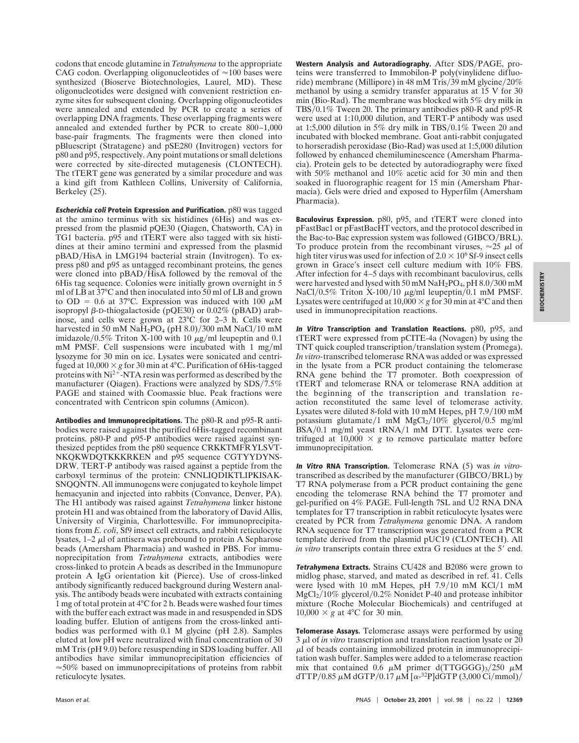codons that encode glutamine in *Tetrahymena* to the appropriate CAG codon. Overlapping oligonucleotides of  $\approx$ 100 bases were synthesized (Bioserve Biotechnologies, Laurel, MD). These oligonucleotides were designed with convenient restriction enzyme sites for subsequent cloning. Overlapping oligonucleotides were annealed and extended by PCR to create a series of overlapping DNA fragments. These overlapping fragments were annealed and extended further by PCR to create 800–1,000 base-pair fragments. The fragments were then cloned into pBluescript (Stratagene) and pSE280 (Invitrogen) vectors for p80 and p95, respectively. Any point mutations or small deletions were corrected by site-directed mutagenesis (CLONTECH). The tTERT gene was generated by a similar procedure and was a kind gift from Kathleen Collins, University of California, Berkeley (25).

**Escherichia coli Protein Expression and Purification.** p80 was tagged at the amino terminus with six histidines (6His) and was expressed from the plasmid pQE30 (Qiagen, Chatsworth, CA) in TG1 bacteria. p95 and tTERT were also tagged with six histidines at their amino termini and expressed from the plasmid pBAD/HisA in LMG194 bacterial strain (Invitrogen). To express p80 and p95 as untagged recombinant proteins, the genes were cloned into pBAD/HisA followed by the removal of the 6His tag sequence. Colonies were initially grown overnight in 5 ml of LB at 37°C and then inoculated into 50 ml of LB and grown to OD = 0.6 at 37°C. Expression was induced with 100  $\mu$ M isopropyl  $\beta$ -D-thiogalactoside (pQE30) or 0.02% (pBAD) arabinose, and cells were grown at 23°C for 2–3 h. Cells were harvested in 50 mM Na $\text{H}_2$ PO<sub>4</sub> (pH 8.0)/300 mM NaCl/10 mM imidazole/0.5% Triton X-100 with 10  $\mu$ g/ml leupeptin and 0.1 mM PMSF. Cell suspensions were incubated with 1 mg/ml lysozyme for 30 min on ice. Lysates were sonicated and centrifuged at  $10,000 \times g$  for 30 min at 4°C. Purification of 6His-tagged proteins with  $Ni^{2+}$ -NTA resin was performed as described by the manufacturer (Qiagen). Fractions were analyzed by  $SDS/7.5%$ PAGE and stained with Coomassie blue. Peak fractions were concentrated with Centricon spin columns (Amicon).

**Antibodies and Immunoprecipitations.** The p80-R and p95-R antibodies were raised against the purified 6His-tagged recombinant proteins. p80-P and p95-P antibodies were raised against synthesized peptides from the p80 sequence CRKKTMFRYLSVT-NKQKWDQTKKKRKEN and p95 sequence CGTYYDYNS-DRW. TERT-P antibody was raised against a peptide from the carboxyl terminus of the protein: CNNLIQDIKTLIPKISAK-SNQQNTN. All immunogens were conjugated to keyhole limpet hemacyanin and injected into rabbits (Convance, Denver, PA). The H1 antibody was raised against *Tetrahymena* linker histone protein H1 and was obtained from the laboratory of David Allis, University of Virginia, Charlottesville. For immunoprecipitations from *E. coli*, Sf9 insect cell extracts, and rabbit reticulocyte lysates,  $1-2 \mu$ l of antisera was prebound to protein A Sepharose beads (Amersham Pharmacia) and washed in PBS. For immunoprecipitation from *Tetrahymena* extracts, antibodies were cross-linked to protein A beads as described in the Immunopure protein A IgG orientation kit (Pierce). Use of cross-linked antibody significantly reduced background during Western analysis. The antibody beads were incubated with extracts containing 1 mg of total protein at 4°C for 2 h. Beads were washed four times with the buffer each extract was made in and resuspended in SDS loading buffer. Elution of antigens from the cross-linked antibodies was performed with 0.1 M glycine (pH 2.8). Samples eluted at low pH were neutralized with final concentration of 30 mM Tris (pH 9.0) before resuspending in SDS loading buffer. All antibodies have similar immunoprecipitation efficiencies of  $\approx$  50% based on immunoprecipitations of proteins from rabbit reticulocyte lysates.

Western Analysis and Autoradiography. After SDS/PAGE, proteins were transferred to Immobilon-P poly(vinylidene difluoride) membrane (Millipore) in 48 mM Tris/39 mM glycine/20% methanol by using a semidry transfer apparatus at 15 V for 30 min (Bio-Rad). The membrane was blocked with 5% dry milk in TBS/0.1% Tween 20. The primary antibodies p80-R and p95-R were used at 1:10,000 dilution, and TERT-P antibody was used at 1:5,000 dilution in 5% dry milk in TBS/0.1% Tween 20 and incubated with blocked membrane. Goat anti-rabbit conjugated to horseradish peroxidase (Bio-Rad) was used at 1:5,000 dilution followed by enhanced chemiluminescence (Amersham Pharmacia). Protein gels to be detected by autoradiography were fixed with 50% methanol and 10% acetic acid for 30 min and then soaked in fluorographic reagent for 15 min (Amersham Pharmacia). Gels were dried and exposed to Hyperfilm (Amersham Pharmacia).

**Baculovirus Expression.** p80, p95, and tTERT were cloned into pFastBac1 or pFastBacHT vectors, and the protocol described in the Bac-to-Bac expression system was followed (GIBCO/BRL). To produce protein from the recombinant viruses,  $\approx 25 \mu$ l of high titer virus was used for infection of  $2.0 \times 10^6$  Sf-9 insect cells grown in Grace's insect cell culture medium with 10% FBS. After infection for 4–5 days with recombinant baculovirus, cells were harvested and lysed with 50 mM  $NaH<sub>2</sub>PO<sub>4</sub>$ , pH  $8.0/300$  mM NaCl/0.5% Triton X-100/10  $\mu$ g/ml leupeptin/0.1 mM PMSF. Lysates were centrifuged at  $10,000 \times g$  for 30 min at 4<sup>o</sup>C and then used in immunoprecipitation reactions.

**In Vitro Transcription and Translation Reactions.** p80, p95, and tTERT were expressed from pCITE-4a (Novagen) by using the TNT quick coupled transcription/translation system (Promega). *In vitro-*transcribed telomerase RNA was added or was expressed in the lysate from a PCR product containing the telomerase RNA gene behind the T7 promoter. Both coexpression of tTERT and telomerase RNA or telomerase RNA addition at the beginning of the transcription and translation reaction reconstituted the same level of telomerase activity. Lysates were diluted 8-fold with 10 mM Hepes, pH  $7.9/100$  mM potassium glutamate/1 mM  $MgCl<sub>2</sub>/10\%$  glycerol/0.5 mg/ml BSA/0.1 mg/ml yeast tRNA/1 mM DTT. Lysates were centrifuged at  $10,000 \times g$  to remove particulate matter before immunoprecipitation.

**In Vitro RNA Transcription.** Telomerase RNA (5) was *in vitro*transcribed as described by the manufacturer (GIBCO/BRL) by T7 RNA polymerase from a PCR product containing the gene encoding the telomerase RNA behind the T7 promoter and gel-purified on 4% PAGE. Full-length 7SL and U2 RNA DNA templates for T7 transcription in rabbit reticulocyte lysates were created by PCR from *Tetrahymena* genomic DNA. A random RNA sequence for T7 transcription was generated from a PCR template derived from the plasmid pUC19 (CLONTECH). All *in vitro* transcripts contain three extra G residues at the 5' end.

**Tetrahymena Extracts.** Strains CU428 and B2086 were grown to midlog phase, starved, and mated as described in ref. 41. Cells were lysed with 10 mM Hepes, pH 7.9/10 mM KCl/1 mM  $MgCl<sub>2</sub>/10\%$  glycerol/0.2% Nonidet P-40 and protease inhibitor mixture (Roche Molecular Biochemicals) and centrifuged at  $10,000 \times g$  at 4°C for 30 min.

**Telomerase Assays.** Telomerase assays were performed by using 3  $\mu$ l of *in vitro* transcription and translation reaction lysate or 20  $\mu$ l of beads containing immobilized protein in immunoprecipitation wash buffer. Samples were added to a telomerase reaction mix that contained 0.6  $\mu$ M primer d(TTGGGG)<sub>3</sub>/250  $\mu$ M dTTP/0.85  $\mu$ M dGTP/0.17  $\mu$ M [ $\alpha$ -<sup>32</sup>PldGTP (3,000 Ci/mmol)/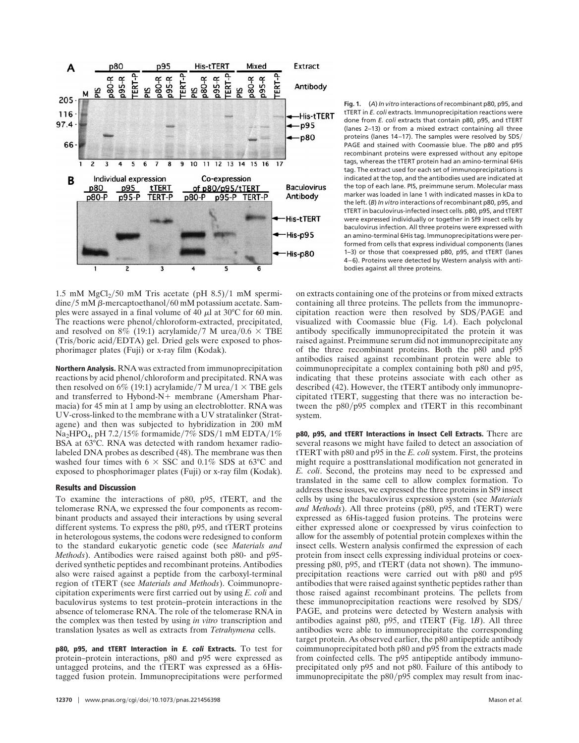

1.5 mM  $MgCl<sub>2</sub>/50$  mM Tris acetate (pH 8.5)/1 mM spermi- $\dim\pi/5$  mM  $\beta$ -mercaptoethanol/60 mM potassium acetate. Samples were assayed in a final volume of  $40 \mu$ l at 30°C for 60 min. The reactions were phenol/chloroform-extracted, precipitated, and resolved on 8% (19:1) acrylamide/7 M urea/0.6  $\times$  TBE  $(Tris/boric acid/EDTA)$  gel. Dried gels were exposed to phosphorimager plates (Fuji) or x-ray film (Kodak).

**Northern Analysis.** RNA was extracted from immunoprecipitation reactions by acid phenol/chloroform and precipitated. RNA was then resolved on 6% (19:1) acrylamide/7 M urea/1  $\times$  TBE gels and transferred to Hybond-N+ membrane (Amersham Pharmacia) for 45 min at 1 amp by using an electroblotter. RNA was UV-cross-linked to the membrane with a UV stratalinker (Stratagene) and then was subjected to hybridization in 200 mM  $Na<sub>2</sub>HPO<sub>4</sub>$ , pH 7.2/15% formamide/7% SDS/1 mM EDTA/1% BSA at 63°C. RNA was detected with random hexamer radiolabeled DNA probes as described (48). The membrane was then washed four times with  $6 \times SSC$  and 0.1% SDS at 63°C and exposed to phosphorimager plates (Fuji) or x-ray film (Kodak).

## **Results and Discussion**

To examine the interactions of p80, p95, tTERT, and the telomerase RNA, we expressed the four components as recombinant products and assayed their interactions by using several different systems. To express the p80, p95, and tTERT proteins in heterologous systems, the codons were redesigned to conform to the standard eukaryotic genetic code (see *Materials and Methods*). Antibodies were raised against both p80- and p95 derived synthetic peptides and recombinant proteins. Antibodies also were raised against a peptide from the carboxyl-terminal region of tTERT (see *Materials and Methods*). Coimmunoprecipitation experiments were first carried out by using *E. coli* and baculovirus systems to test protein–protein interactions in the absence of telomerase RNA. The role of the telomerase RNA in the complex was then tested by using *in vitro* transcription and translation lysates as well as extracts from *Tetrahymena* cells.

**p80, p95, and tTERT Interaction in E. coli Extracts.** To test for protein–protein interactions, p80 and p95 were expressed as untagged proteins, and the tTERT was expressed as a 6Histagged fusion protein. Immunoprecipitations were performed **Fig. 1.** (*A*) *In vitro* interactions of recombinant p80, p95, and tTERT in *E. coli* extracts. Immunoprecipitation reactions were done from *E. coli* extracts that contain p80, p95, and tTERT (lanes 2–13) or from a mixed extract containing all three proteins (lanes  $14-17$ ). The samples were resolved by SDS/ PAGE and stained with Coomassie blue. The p80 and p95 recombinant proteins were expressed without any epitope tags, whereas the tTERT protein had an amino-terminal 6His tag. The extract used for each set of immunoprecipitations is indicated at the top, and the antibodies used are indicated at the top of each lane. PIS, preimmune serum. Molecular mass marker was loaded in lane 1 with indicated masses in kDa to the left. (*B*) *In vitro* interactions of recombinant p80, p95, and tTERT in baculovirus-infected insect cells. p80, p95, and tTERT were expressed individually or together in Sf9 insect cells by baculovirus infection. All three proteins were expressed with an amino-terminal 6His tag. Immunoprecipitations were performed from cells that express individual components (lanes 1–3) or those that coexpressed p80, p95, and tTERT (lanes 4–6). Proteins were detected by Western analysis with antibodies against all three proteins.

on extracts containing one of the proteins or from mixed extracts containing all three proteins. The pellets from the immunoprecipitation reaction were then resolved by SDS/PAGE and visualized with Coomassie blue (Fig. 1*A*). Each polyclonal antibody specifically immunoprecipitated the protein it was raised against. Preimmune serum did not immunoprecipitate any of the three recombinant proteins. Both the p80 and p95 antibodies raised against recombinant protein were able to coimmunoprecipitate a complex containing both p80 and p95, indicating that these proteins associate with each other as described (42). However, the tTERT antibody only immunoprecipitated tTERT, suggesting that there was no interaction between the  $p80/p95$  complex and tTERT in this recombinant system.

**p80, p95, and tTERT Interactions in Insect Cell Extracts.** There are several reasons we might have failed to detect an association of tTERT with p80 and p95 in the *E. coli* system. First, the proteins might require a posttranslational modification not generated in *E. coli*. Second, the proteins may need to be expressed and translated in the same cell to allow complex formation. To address these issues, we expressed the three proteins in Sf9 insect cells by using the baculovirus expression system (see *Materials and Methods*). All three proteins (p80, p95, and tTERT) were expressed as 6His-tagged fusion proteins. The proteins were either expressed alone or coexpressed by virus coinfection to allow for the assembly of potential protein complexes within the insect cells. Western analysis confirmed the expression of each protein from insect cells expressing individual proteins or coexpressing p80, p95, and tTERT (data not shown). The immunoprecipitation reactions were carried out with p80 and p95 antibodies that were raised against synthetic peptides rather than those raised against recombinant proteins. The pellets from these immunoprecipitation reactions were resolved by SDS/ PAGE, and proteins were detected by Western analysis with antibodies against p80, p95, and tTERT (Fig. 1*B*). All three antibodies were able to immunoprecipitate the corresponding target protein. As observed earlier, the p80 antipeptide antibody coimmunoprecipitated both p80 and p95 from the extracts made from coinfected cells. The p95 antipeptide antibody immunoprecipitated only p95 and not p80. Failure of this antibody to immunoprecipitate the  $p80/p95$  complex may result from inac-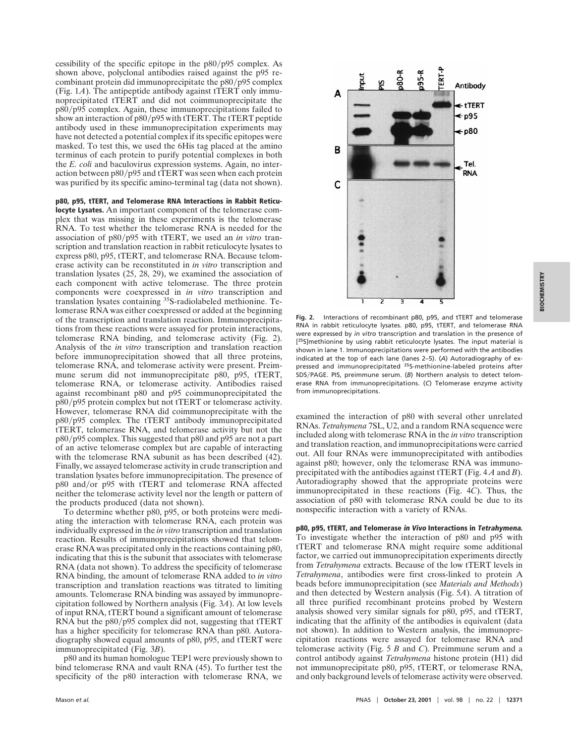cessibility of the specific epitope in the  $p80/p95$  complex. As shown above, polyclonal antibodies raised against the p95 recombinant protein did immunoprecipitate the  $p80/p95$  complex (Fig. 1*A*). The antipeptide antibody against tTERT only immunoprecipitated tTERT and did not coimmunoprecipitate the p80/p95 complex. Again, these immunoprecipitations failed to show an interaction of  $p80/p95$  with tTERT. The tTERT peptide antibody used in these immunoprecipitation experiments may have not detected a potential complex if its specific epitopes were masked. To test this, we used the 6His tag placed at the amino terminus of each protein to purify potential complexes in both the *E. coli* and baculovirus expression systems. Again, no interaction between  $p80/p95$  and tTERT was seen when each protein was purified by its specific amino-terminal tag (data not shown).

**p80, p95, tTERT, and Telomerase RNA Interactions in Rabbit Reticulocyte Lysates.** An important component of the telomerase complex that was missing in these experiments is the telomerase RNA. To test whether the telomerase RNA is needed for the association of p80/p95 with tTERT, we used an *in vitro* transcription and translation reaction in rabbit reticulocyte lysates to express p80, p95, tTERT, and telomerase RNA. Because telomerase activity can be reconstituted in *in vitro* transcription and translation lysates (25, 28, 29), we examined the association of each component with active telomerase. The three protein components were coexpressed in *in vitro* transcription and translation lysates containing 35S-radiolabeled methionine. Telomerase RNA was either coexpressed or added at the beginning of the transcription and translation reaction. Immunoprecipitations from these reactions were assayed for protein interactions, telomerase RNA binding, and telomerase activity (Fig. 2). Analysis of the *in vitro* transcription and translation reaction before immunoprecipitation showed that all three proteins, telomerase RNA, and telomerase activity were present. Preimmune serum did not immunoprecipitate p80, p95, tTERT, telomerase RNA, or telomerase activity. Antibodies raised against recombinant p80 and p95 coimmunoprecipitated the  $p80/p95$  protein complex but not tTERT or telomerase activity. However, telomerase RNA did coimmunoprecipitate with the p80/p95 complex. The tTERT antibody immunoprecipitated tTERT, telomerase RNA, and telomerase activity but not the  $p80/p95$  complex. This suggested that  $p80$  and  $p95$  are not a part of an active telomerase complex but are capable of interacting with the telomerase RNA subunit as has been described (42). Finally, we assayed telomerase activity in crude transcription and translation lysates before immunoprecipitation. The presence of p80 and/or p95 with tTERT and telomerase RNA affected neither the telomerase activity level nor the length or pattern of the products produced (data not shown).

To determine whether p80, p95, or both proteins were mediating the interaction with telomerase RNA, each protein was individually expressed in the *in vitro* transcription and translation reaction. Results of immunoprecipitations showed that telomerase RNA was precipitated only in the reactions containing p80, indicating that this is the subunit that associates with telomerase RNA (data not shown). To address the specificity of telomerase RNA binding, the amount of telomerase RNA added to *in vitro* transcription and translation reactions was titrated to limiting amounts. Telomerase RNA binding was assayed by immunoprecipitation followed by Northern analysis (Fig. 3*A*). At low levels of input RNA, tTERT bound a significant amount of telomerase RNA but the  $p80/p95$  complex did not, suggesting that tTERT has a higher specificity for telomerase RNA than p80. Autoradiography showed equal amounts of p80, p95, and tTERT were immunoprecipitated (Fig. 3*B*).

p80 and its human homologue TEP1 were previously shown to bind telomerase RNA and vault RNA (45). To further test the specificity of the p80 interaction with telomerase RNA, we



**Fig. 2.** Interactions of recombinant p80, p95, and tTERT and telomerase RNA in rabbit reticulocyte lysates. p80, p95, tTERT, and telomerase RNA were expressed by *in vitro* transcription and translation in the presence of [35S]methionine by using rabbit reticulocyte lysates. The input material is shown in lane 1. Immunoprecipitations were performed with the antibodies indicated at the top of each lane (lanes 2–5). (*A*) Autoradiography of expressed and immunoprecipitated 35S-methionine-labeled proteins after SDS/PAGE. PIS, preimmune serum. (B) Northern analysis to detect telomerase RNA from immunoprecipitations. (*C*) Telomerase enzyme activity from immunoprecipitations.

examined the interaction of p80 with several other unrelated RNAs. *Tetrahymena* 7SL, U2, and a random RNA sequence were included along with telomerase RNA in the *in vitro* transcription and translation reaction, and immunoprecipitations were carried out. All four RNAs were immunoprecipitated with antibodies against p80; however, only the telomerase RNA was immunoprecipitated with the antibodies against tTERT (Fig. 4 *A* and *B*). Autoradiography showed that the appropriate proteins were immunoprecipitated in these reactions (Fig. 4*C*). Thus, the association of p80 with telomerase RNA could be due to its nonspecific interaction with a variety of RNAs.

**p80, p95, tTERT, and Telomerase in Vivo Interactions in Tetrahymena.** To investigate whether the interaction of p80 and p95 with tTERT and telomerase RNA might require some additional factor, we carried out immunoprecipitation experiments directly from *Tetrahymena* extracts. Because of the low tTERT levels in *Tetrahymena*, antibodies were first cross-linked to protein A beads before immunoprecipitation (see *Materials and Methods*) and then detected by Western analysis (Fig. 5*A*). A titration of all three purified recombinant proteins probed by Western analysis showed very similar signals for p80, p95, and tTERT, indicating that the affinity of the antibodies is equivalent (data not shown). In addition to Western analysis, the immunoprecipitation reactions were assayed for telomerase RNA and telomerase activity (Fig. 5 *B* and *C*). Preimmune serum and a control antibody against *Tetrahymena* histone protein (H1) did not immunoprecipitate p80, p95, tTERT, or telomerase RNA, and only background levels of telomerase activity were observed.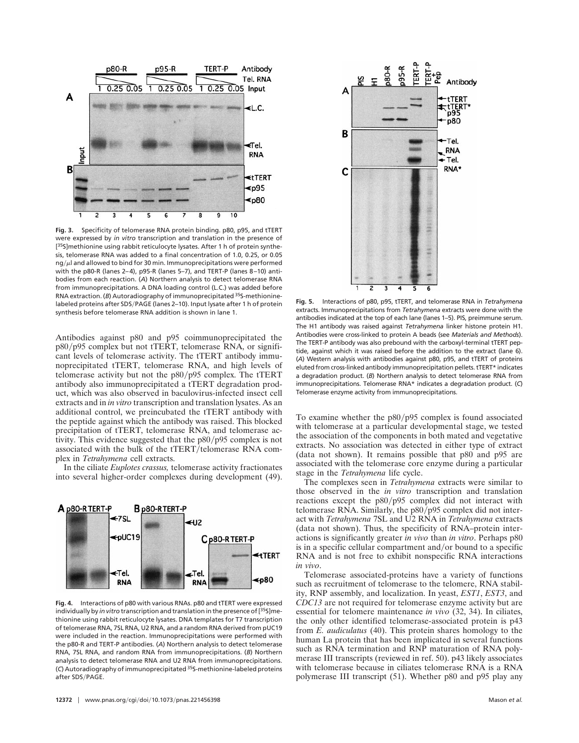

**Fig. 3.** Specificity of telomerase RNA protein binding. p80, p95, and tTERT were expressed by *in vitro* transcription and translation in the presence of [<sup>35</sup>S]methionine using rabbit reticulocyte lysates. After 1 h of protein synthesis, telomerase RNA was added to a final concentration of 1.0, 0.25, or 0.05  $nq/u$  and allowed to bind for 30 min. Immunoprecipitations were performed with the p80-R (lanes 2–4), p95-R (lanes 5–7), and TERT-P (lanes 8–10) antibodies from each reaction. (*A*) Northern analysis to detect telomerase RNA from immunoprecipitations. A DNA loading control (L.C.) was added before RNA extraction. (*B*) Autoradiography of immunoprecipitated 35S-methioninelabeled proteins after SDS/PAGE (lanes 2-10). Input lysate after 1 h of protein synthesis before telomerase RNA addition is shown in lane 1.

Antibodies against p80 and p95 coimmunoprecipitated the p80/p95 complex but not tTERT, telomerase RNA, or significant levels of telomerase activity. The tTERT antibody immunoprecipitated tTERT, telomerase RNA, and high levels of telomerase activity but not the  $p80/p95$  complex. The tTERT antibody also immunoprecipitated a tTERT degradation product, which was also observed in baculovirus-infected insect cell extracts and in *in vitro* transcription and translation lysates. As an additional control, we preincubated the tTERT antibody with the peptide against which the antibody was raised. This blocked precipitation of tTERT, telomerase RNA, and telomerase activity. This evidence suggested that the  $p80/p95$  complex is not associated with the bulk of the tTERT/telomerase RNA complex in *Tetrahymena* cell extracts.

In the ciliate *Euplotes crassus,* telomerase activity fractionates into several higher-order complexes during development (49).



**Fig. 4.** Interactions of p80 with various RNAs. p80 and tTERT were expressed individually by *in vitro* transcription and translation in the presence of [35S]methionine using rabbit reticulocyte lysates. DNA templates for T7 transcription of telomerase RNA, 7SL RNA, U2 RNA, and a random RNA derived from pUC19 were included in the reaction. Immunoprecipitations were performed with the p80-R and TERT-P antibodies. (*A*) Northern analysis to detect telomerase RNA, 7SL RNA, and random RNA from immunoprecipitations. (*B*) Northern analysis to detect telomerase RNA and U2 RNA from immunoprecipitations. (*C*) Autoradiography of immunoprecipitated 35S-methionine-labeled proteins after SDS/PAGE.



**Fig. 5.** Interactions of p80, p95, tTERT, and telomerase RNA in *Tetrahymena* extracts. Immunoprecipitations from *Tetrahymena* extracts were done with the antibodies indicated at the top of each lane (lanes 1–5). PIS, preimmune serum. The H1 antibody was raised against *Tetrahymena* linker histone protein H1. Antibodies were cross-linked to protein A beads (see *Materials and Methods*). The TERT-P antibody was also prebound with the carboxyl-terminal tTERT peptide, against which it was raised before the addition to the extract (lane 6). (*A*) Western analysis with antibodies against p80, p95, and tTERT of proteins eluted from cross-linked antibody immunoprecipitation pellets. tTERT\* indicates a degradation product. (*B*) Northern analysis to detect telomerase RNA from immunoprecipitations. Telomerase RNA\* indicates a degradation product. (*C*) Telomerase enzyme activity from immunoprecipitations.

To examine whether the  $p80/p95$  complex is found associated with telomerase at a particular developmental stage, we tested the association of the components in both mated and vegetative extracts. No association was detected in either type of extract (data not shown). It remains possible that p80 and p95 are associated with the telomerase core enzyme during a particular stage in the *Tetrahymena* life cycle.

The complexes seen in *Tetrahymena* extracts were similar to those observed in the *in vitro* transcription and translation reactions except the  $p80/p95$  complex did not interact with telomerase RNA. Similarly, the  $p80/p95$  complex did not interact with *Tetrahymena* 7SL and U2 RNA in *Tetrahymena* extracts (data not shown). Thus, the specificity of RNA–protein interactions is significantly greater *in vivo* than *in vitro*. Perhaps p80 is in a specific cellular compartment and/or bound to a specific RNA and is not free to exhibit nonspecific RNA interactions *in vivo*.

Telomerase associated-proteins have a variety of functions such as recruitment of telomerase to the telomere, RNA stability, RNP assembly, and localization. In yeast, *EST1*, *EST3*, and *CDC13* are not required for telomerase enzyme activity but are essential for telomere maintenance *in vivo* (32, 34). In ciliates, the only other identified telomerase-associated protein is p43 from *E. audiculatus* (40). This protein shares homology to the human La protein that has been implicated in several functions such as RNA termination and RNP maturation of RNA polymerase III transcripts (reviewed in ref. 50). p43 likely associates with telomerase because in ciliates telomerase RNA is a RNA polymerase III transcript (51). Whether p80 and p95 play any